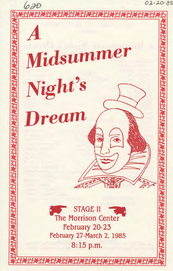02-20-85 620 Midsummer Night's **Dream STAGE II** The Morrison Center February 20-23 February 27-March 2, 1985 8:15 p.m.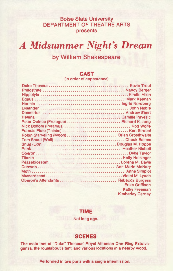## Boise State University DEPARTMENT OF THEATRE ARTS presents

*A Midsummer Night's Dream* 

# by William Shakespeare

### **CAST**

(in order of appearance)

| Peter Quince (Prologue)  Richard K. Jung  |                         |
|-------------------------------------------|-------------------------|
|                                           |                         |
|                                           |                         |
| Robin Starveling (Moon) Brian Crosthwaite |                         |
|                                           |                         |
|                                           |                         |
|                                           |                         |
|                                           |                         |
|                                           |                         |
| Peaseblossom Lorena M. Davis              |                         |
|                                           |                         |
|                                           |                         |
|                                           |                         |
|                                           |                         |
|                                           | <b>Erika Griffioen</b>  |
|                                           | <b>Kathy Freeman</b>    |
|                                           | <b>Kimberley Carney</b> |

### **TIME**

Not long ago.

### **SCENES**

The main tent of "Duke" Theseus' Royal Athenian One-Ring Extravaganza, the roustabout's tent, and various locations in a nearby wood.

Performed in two parts with a single intermission.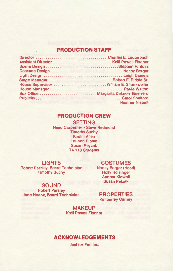## **PRODUCTION STAFF**

| Stage ManagerRobert E. Riddle Sr.        |                                                  |
|------------------------------------------|--------------------------------------------------|
| House Supervisor  William E. Shankweiler |                                                  |
|                                          |                                                  |
| Box Office  Margarita DeLeon-Guerrero    |                                                  |
|                                          |                                                  |
|                                          | <b>Heather Nisbett</b><br><b>AND MANUFACTURE</b> |

### **PRODUCTION CREW**

**SETTING**  Head Carpenter - Steve Redmond Timothy Suchy Kirstin Allen Louann Blome Susan Peyzak **TA 118 Students** 

Robert Parsley, Board Technician Timothy Suchy

### **LIGHTS COSTUMES**

Nancy Berger (Head) Holly Holsinger Andrea Kidwell Susan Petzak

### **SOUND**

Robert Parsley Jane Hoene, Board Technician

### **PROPERTIES**  Kimberley Carney

**MAKEUP**  Kelli Powell Fischer

## **ACKNOWLEDGEMENTS**

Just for Fun Inc.